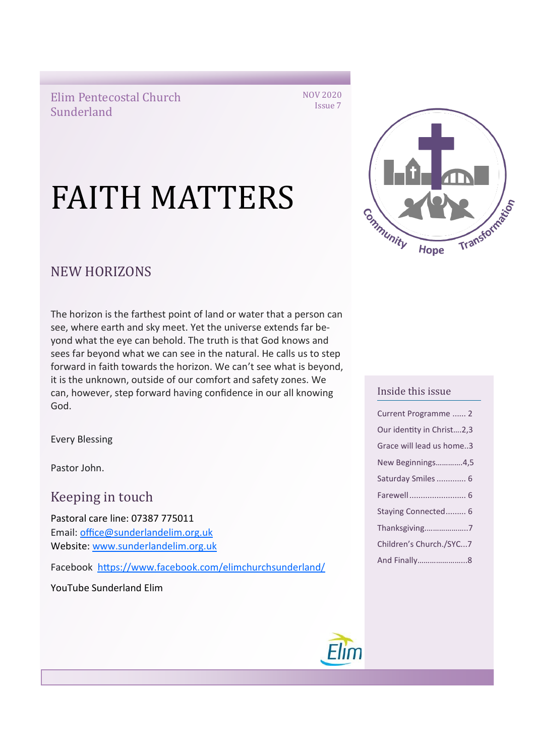Elim Pentecostal Church Sunderland

FAITH MATTERS



NOV 2020 Issue 7

### NEW HORIZONS

The horizon is the farthest point of land or water that a person can see, where earth and sky meet. Yet the universe extends far beyond what the eye can behold. The truth is that God knows and sees far beyond what we can see in the natural. He calls us to step forward in faith towards the horizon. We can't see what is beyond, it is the unknown, outside of our comfort and safety zones. We can, however, step forward having confidence in our all knowing God.

Every Blessing

Pastor John.

Keeping in touch

Pastoral care line: 07387 775011 Email: [office@sunderlandelim.org.uk](about:blank) Website: [www.sunderlandelim.org.uk](http://www.sunderlandelim.org.uk)

Facebook [https://www.facebook.com/elimchurchsunderland/](about:blank)

YouTube Sunderland Elim

#### Inside this issue

| Current Programme  2      |
|---------------------------|
| Our identity in Christ2,3 |
| Grace will lead us home3  |
| New Beginnings4,5         |
| Saturday Smiles  6        |
| Farewell 6                |
| Staying Connected 6       |
| Thanksgiving7             |
| Children's Church./SYC7   |
| And Finally8              |

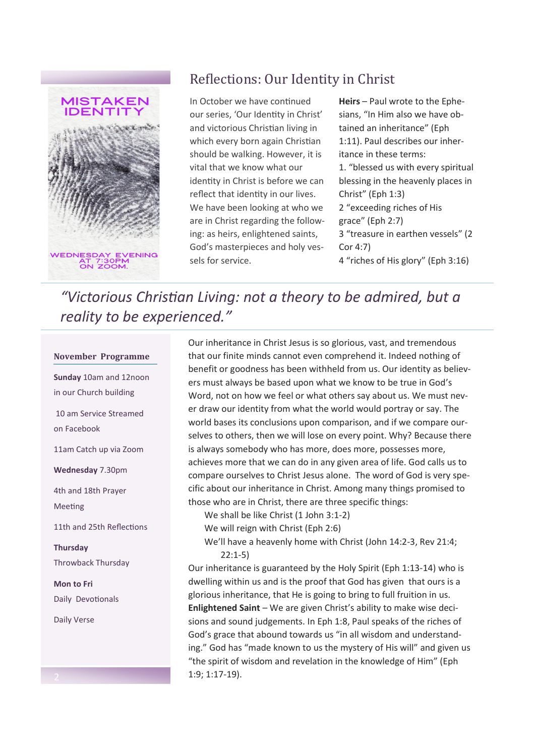

## Reflections: Our Identity in Christ

In October we have continued our series, 'Our Identity in Christ' and victorious Christian living in which every born again Christian should be walking. However, it is vital that we know what our identity in Christ is before we can reflect that identity in our lives. We have been looking at who we are in Christ regarding the following: as heirs, enlightened saints, God's masterpieces and holy vessels for service.

**Heirs** – Paul wrote to the Ephesians, "In Him also we have obtained an inheritance" (Eph 1:11). Paul describes our inheritance in these terms: 1. "blessed us with every spiritual blessing in the heavenly places in Christ" (Eph 1:3) 2 "exceeding riches of His grace" (Eph 2:7) 3 "treasure in earthen vessels" (2 Cor 4:7) 4 "riches of His glory" (Eph 3:16)

# *"Victorious Christian Living: not a theory to be admired, but a reality to be experienced."*

#### **November Programme**

**Sunday** 10am and 12noon in our Church building 10 am Service Streamed on Facebook 11am Catch up via Zoom **Wednesday** 7.30pm 4th and 18th Prayer Meeting 11th and 25th Reflections **Thursday**  Throwback Thursday **Mon to Fri**  Daily Devotionals Daily Verse

Our inheritance in Christ Jesus is so glorious, vast, and tremendous that our finite minds cannot even comprehend it. Indeed nothing of benefit or goodness has been withheld from us. Our identity as believers must always be based upon what we know to be true in God's Word, not on how we feel or what others say about us. We must never draw our identity from what the world would portray or say. The world bases its conclusions upon comparison, and if we compare ourselves to others, then we will lose on every point. Why? Because there is always somebody who has more, does more, possesses more, achieves more that we can do in any given area of life. God calls us to compare ourselves to Christ Jesus alone. The word of God is very specific about our inheritance in Christ. Among many things promised to those who are in Christ, there are three specific things:

- We shall be like Christ (1 John 3:1-2)
- We will reign with Christ (Eph 2:6)
- We'll have a heavenly home with Christ (John 14:2-3, Rev 21:4; 22:1-5)

Our inheritance is guaranteed by the Holy Spirit (Eph 1:13-14) who is dwelling within us and is the proof that God has given that ours is a glorious inheritance, that He is going to bring to full fruition in us. **Enlightened Saint** – We are given Christ's ability to make wise decisions and sound judgements. In Eph 1:8, Paul speaks of the riches of God's grace that abound towards us "in all wisdom and understanding." God has "made known to us the mystery of His will" and given us "the spirit of wisdom and revelation in the knowledge of Him" (Eph 1:9; 1:17-19).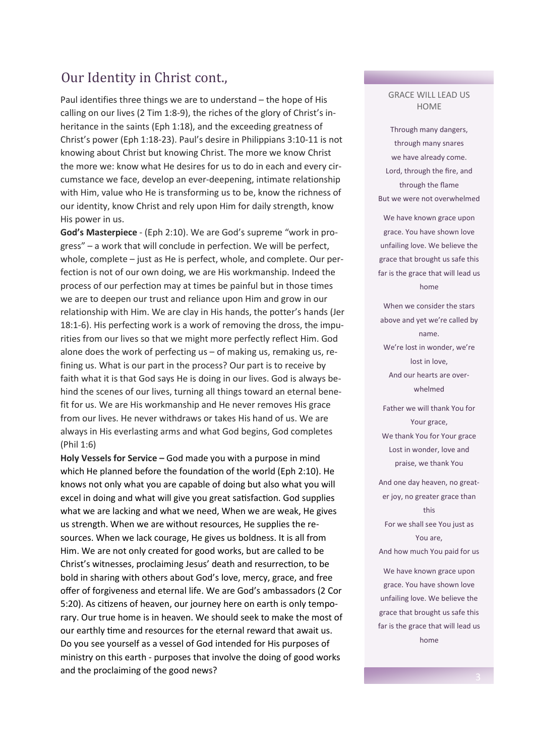## Our Identity in Christ cont.,

Paul identifies three things we are to understand – the hope of His calling on our lives (2 Tim 1:8-9), the riches of the glory of Christ's inheritance in the saints (Eph 1:18), and the exceeding greatness of Christ's power (Eph 1:18-23). Paul's desire in Philippians 3:10-11 is not knowing about Christ but knowing Christ. The more we know Christ the more we: know what He desires for us to do in each and every circumstance we face, develop an ever-deepening, intimate relationship with Him, value who He is transforming us to be, know the richness of our identity, know Christ and rely upon Him for daily strength, know His power in us.

**God's Masterpiece** - (Eph 2:10). We are God's supreme "work in progress" – a work that will conclude in perfection. We will be perfect, whole, complete – just as He is perfect, whole, and complete. Our perfection is not of our own doing, we are His workmanship. Indeed the process of our perfection may at times be painful but in those times we are to deepen our trust and reliance upon Him and grow in our relationship with Him. We are clay in His hands, the potter's hands (Jer 18:1-6). His perfecting work is a work of removing the dross, the impurities from our lives so that we might more perfectly reflect Him. God alone does the work of perfecting us  $-$  of making us, remaking us, refining us. What is our part in the process? Our part is to receive by faith what it is that God says He is doing in our lives. God is always behind the scenes of our lives, turning all things toward an eternal benefit for us. We are His workmanship and He never removes His grace from our lives. He never withdraws or takes His hand of us. We are always in His everlasting arms and what God begins, God completes (Phil 1:6)

**Holy Vessels for Service –** God made you with a purpose in mind which He planned before the foundation of the world (Eph 2:10). He knows not only what you are capable of doing but also what you will excel in doing and what will give you great satisfaction. God supplies what we are lacking and what we need, When we are weak, He gives us strength. When we are without resources, He supplies the resources. When we lack courage, He gives us boldness. It is all from Him. We are not only created for good works, but are called to be Christ's witnesses, proclaiming Jesus' death and resurrection, to be bold in sharing with others about God's love, mercy, grace, and free offer of forgiveness and eternal life. We are God's ambassadors (2 Cor 5:20). As citizens of heaven, our journey here on earth is only temporary. Our true home is in heaven. We should seek to make the most of our earthly time and resources for the eternal reward that await us. Do you see yourself as a vessel of God intended for His purposes of ministry on this earth - purposes that involve the doing of good works and the proclaiming of the good news?

#### GRACE WILL LEAD US HOME

Through many dangers, through many snares we have already come. Lord, through the fire, and through the flame But we were not overwhelmed

We have known grace upon grace. You have shown love unfailing love. We believe the grace that brought us safe this far is the grace that will lead us home

When we consider the stars above and yet we're called by name. We're lost in wonder, we're lost in love, And our hearts are overwhelmed

Father we will thank You for Your grace, We thank You for Your grace Lost in wonder, love and praise, we thank You

And one day heaven, no greater joy, no greater grace than this For we shall see You just as You are, And how much You paid for us

We have known grace upon grace. You have shown love unfailing love. We believe the grace that brought us safe this far is the grace that will lead us home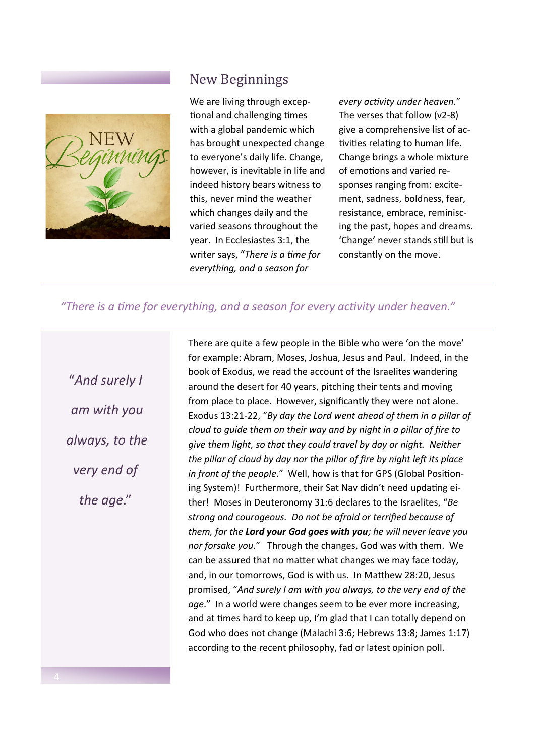

## New Beginnings

We are living through exceptional and challenging times with a global pandemic which has brought unexpected change to everyone's daily life. Change, however, is inevitable in life and indeed history bears witness to this, never mind the weather which changes daily and the varied seasons throughout the year. In Ecclesiastes 3:1, the writer says, "*There is a time for everything, and a season for* 

*every activity under heaven.*" The verses that follow (v2-8) give a comprehensive list of activities relating to human life. Change brings a whole mixture of emotions and varied responses ranging from: excitement, sadness, boldness, fear, resistance, embrace, reminiscing the past, hopes and dreams. 'Change' never stands still but is constantly on the move.

#### *"There is a time for everything, and a season for every activity under heaven.*"

"*And surely I am with you always, to the very end of the age*."

There are quite a few people in the Bible who were 'on the move' for example: Abram, Moses, Joshua, Jesus and Paul. Indeed, in the book of Exodus, we read the account of the Israelites wandering around the desert for 40 years, pitching their tents and moving from place to place. However, significantly they were not alone. Exodus 13:21-22, "*By day the Lord went ahead of them in a pillar of cloud to guide them on their way and by night in a pillar of fire to give them light, so that they could travel by day or night. Neither the pillar of cloud by day nor the pillar of fire by night left its place in front of the people*." Well, how is that for GPS (Global Positioning System)! Furthermore, their Sat Nav didn't need updating either! Moses in Deuteronomy 31:6 declares to the Israelites, "*Be strong and courageous. Do not be afraid or terrified because of them, for the Lord your God goes with you; he will never leave you nor forsake you*." Through the changes, God was with them. We can be assured that no matter what changes we may face today, and, in our tomorrows, God is with us. In Matthew 28:20, Jesus promised, "*And surely I am with you always, to the very end of the age*." In a world were changes seem to be ever more increasing, and at times hard to keep up, I'm glad that I can totally depend on God who does not change (Malachi 3:6; Hebrews 13:8; James 1:17) according to the recent philosophy, fad or latest opinion poll.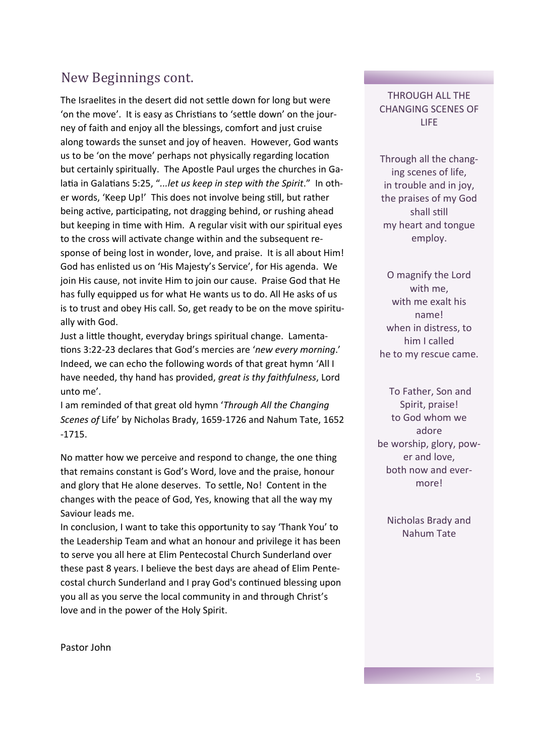## New Beginnings cont.

The Israelites in the desert did not settle down for long but were 'on the move'. It is easy as Christians to 'settle down' on the journey of faith and enjoy all the blessings, comfort and just cruise along towards the sunset and joy of heaven. However, God wants us to be 'on the move' perhaps not physically regarding location but certainly spiritually. The Apostle Paul urges the churches in Galatia in Galatians 5:25, "*...let us keep in step with the Spirit*." In other words, 'Keep Up!' This does not involve being still, but rather being active, participating, not dragging behind, or rushing ahead but keeping in time with Him. A regular visit with our spiritual eyes to the cross will activate change within and the subsequent response of being lost in wonder, love, and praise. It is all about Him! God has enlisted us on 'His Majesty's Service', for His agenda. We join His cause, not invite Him to join our cause. Praise God that He has fully equipped us for what He wants us to do. All He asks of us is to trust and obey His call. So, get ready to be on the move spiritually with God.

Just a little thought, everyday brings spiritual change. Lamentations 3:22-23 declares that God's mercies are '*new every morning*.' Indeed, we can echo the following words of that great hymn 'All I have needed, thy hand has provided, *great is thy faithfulness*, Lord unto me'.

I am reminded of that great old hymn '*Through All the Changing Scenes of* Life' by Nicholas Brady, 1659-1726 and Nahum Tate, 1652 -1715.

No matter how we perceive and respond to change, the one thing that remains constant is God's Word, love and the praise, honour and glory that He alone deserves. To settle, No! Content in the changes with the peace of God, Yes, knowing that all the way my Saviour leads me.

In conclusion, I want to take this opportunity to say 'Thank You' to the Leadership Team and what an honour and privilege it has been to serve you all here at Elim Pentecostal Church Sunderland over these past 8 years. I believe the best days are ahead of Elim Pentecostal church Sunderland and I pray God's continued blessing upon you all as you serve the local community in and through Christ's love and in the power of the Holy Spirit.

THROUGH ALL THE CHANGING SCENES OF LIFE

Through all the changing scenes of life, in trouble and in joy, the praises of my God shall still my heart and tongue employ.

O magnify the Lord with me, with me exalt his name! when in distress, to him I called he to my rescue came.

To Father, Son and Spirit, praise! to God whom we adore be worship, glory, power and love, both now and evermore!

Nicholas Brady and Nahum Tate

Pastor John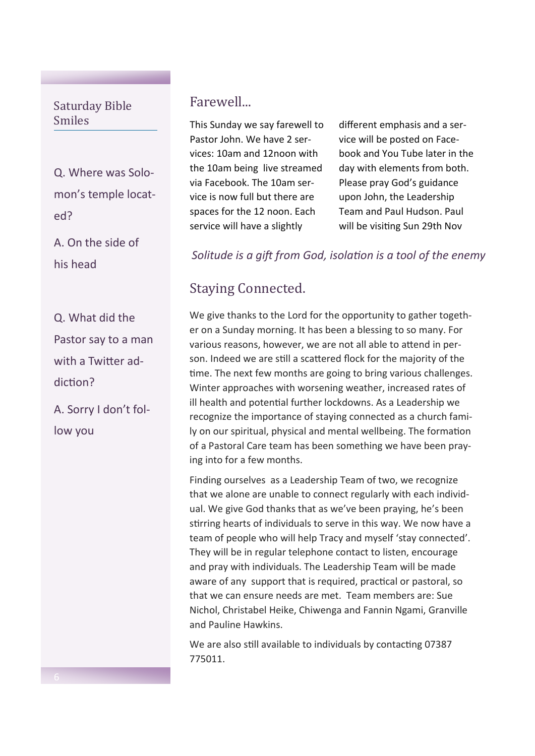### Saturday Bible Smiles

Q. Where was Solomon's temple located?

A. On the side of his head

Q. What did the Pastor say to a man with a Twitter addiction?

A. Sorry I don't follow you

### Farewell...

This Sunday we say farewell to Pastor John. We have 2 services: 10am and 12noon with the 10am being live streamed via Facebook. The 10am service is now full but there are spaces for the 12 noon. Each service will have a slightly

different emphasis and a service will be posted on Facebook and You Tube later in the day with elements from both. Please pray God's guidance upon John, the Leadership Team and Paul Hudson. Paul will be visiting Sun 29th Nov

*Solitude is a gift from God, isolation is a tool of the enemy*

## Staying Connected.

We give thanks to the Lord for the opportunity to gather together on a Sunday morning. It has been a blessing to so many. For various reasons, however, we are not all able to attend in person. Indeed we are still a scattered flock for the majority of the time. The next few months are going to bring various challenges. Winter approaches with worsening weather, increased rates of ill health and potential further lockdowns. As a Leadership we recognize the importance of staying connected as a church family on our spiritual, physical and mental wellbeing. The formation of a Pastoral Care team has been something we have been praying into for a few months.

Finding ourselves as a Leadership Team of two, we recognize that we alone are unable to connect regularly with each individual. We give God thanks that as we've been praying, he's been stirring hearts of individuals to serve in this way. We now have a team of people who will help Tracy and myself 'stay connected'. They will be in regular telephone contact to listen, encourage and pray with individuals. The Leadership Team will be made aware of any support that is required, practical or pastoral, so that we can ensure needs are met. Team members are: Sue Nichol, Christabel Heike, Chiwenga and Fannin Ngami, Granville and Pauline Hawkins.

We are also still available to individuals by contacting 07387 775011.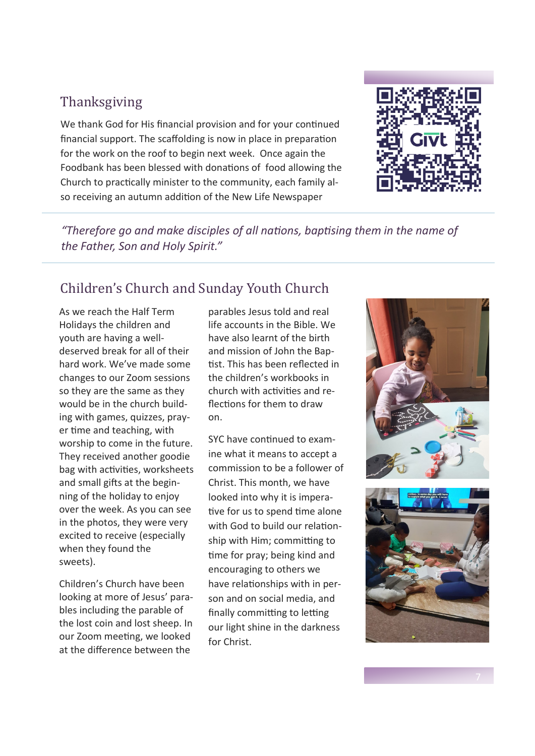## Thanksgiving

We thank God for His financial provision and for your continued financial support. The scaffolding is now in place in preparation for the work on the roof to begin next week. Once again the Foodbank has been blessed with donations of food allowing the Church to practically minister to the community, each family also receiving an autumn addition of the New Life Newspaper



*"Therefore go and make disciples of all nations, baptising them in the name of the Father, Son and Holy Spirit."* 

# Children's Church and Sunday Youth Church

As we reach the Half Term Holidays the children and youth are having a welldeserved break for all of their hard work. We've made some changes to our Zoom sessions so they are the same as they would be in the church building with games, quizzes, prayer time and teaching, with worship to come in the future. They received another goodie bag with activities, worksheets and small gifts at the beginning of the holiday to enjoy over the week. As you can see in the photos, they were very excited to receive (especially when they found the sweets).

Children's Church have been looking at more of Jesus' parables including the parable of the lost coin and lost sheep. In our Zoom meeting, we looked at the difference between the

parables Jesus told and real life accounts in the Bible. We have also learnt of the birth and mission of John the Baptist. This has been reflected in the children's workbooks in church with activities and reflections for them to draw on.

SYC have continued to examine what it means to accept a commission to be a follower of Christ. This month, we have looked into why it is imperative for us to spend time alone with God to build our relationship with Him; committing to time for pray; being kind and encouraging to others we have relationships with in person and on social media, and finally committing to letting our light shine in the darkness for Christ.